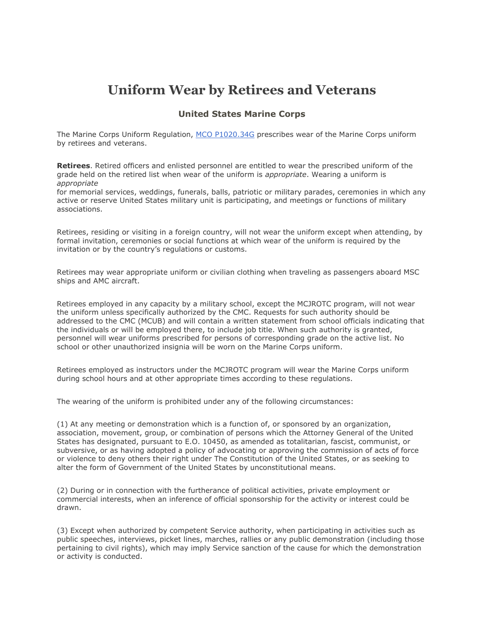## **Uniform Wear by Retirees and Veterans**

## **United States Marine Corps**

The Marine Corps Uniform Regulation, [MCO P1020.34G](http://usmilitary.about.com/od/marineregs/l/blmco102034.htm) prescribes wear of the Marine Corps uniform by retirees and veterans.

**Retirees**. Retired officers and enlisted personnel are entitled to wear the prescribed uniform of the grade held on the retired list when wear of the uniform is *appropriate*. Wearing a uniform is *appropriate*

for memorial services, weddings, funerals, balls, patriotic or military parades, ceremonies in which any active or reserve United States military unit is participating, and meetings or functions of military associations.

Retirees, residing or visiting in a foreign country, will not wear the uniform except when attending, by formal invitation, ceremonies or social functions at which wear of the uniform is required by the invitation or by the country's regulations or customs.

Retirees may wear appropriate uniform or civilian clothing when traveling as passengers aboard MSC ships and AMC aircraft.

Retirees employed in any capacity by a military school, except the MCJROTC program, will not wear the uniform unless specifically authorized by the CMC. Requests for such authority should be addressed to the CMC (MCUB) and will contain a written statement from school officials indicating that the individuals or will be employed there, to include job title. When such authority is granted, personnel will wear uniforms prescribed for persons of corresponding grade on the active list. No school or other unauthorized insignia will be worn on the Marine Corps uniform.

Retirees employed as instructors under the MCJROTC program will wear the Marine Corps uniform during school hours and at other appropriate times according to these regulations.

The wearing of the uniform is prohibited under any of the following circumstances:

(1) At any meeting or demonstration which is a function of, or sponsored by an organization, association, movement, group, or combination of persons which the Attorney General of the United States has designated, pursuant to E.O. 10450, as amended as totalitarian, fascist, communist, or subversive, or as having adopted a policy of advocating or approving the commission of acts of force or violence to deny others their right under The Constitution of the United States, or as seeking to alter the form of Government of the United States by unconstitutional means.

(2) During or in connection with the furtherance of political activities, private employment or commercial interests, when an inference of official sponsorship for the activity or interest could be drawn.

(3) Except when authorized by competent Service authority, when participating in activities such as public speeches, interviews, picket lines, marches, rallies or any public demonstration (including those pertaining to civil rights), which may imply Service sanction of the cause for which the demonstration or activity is conducted.